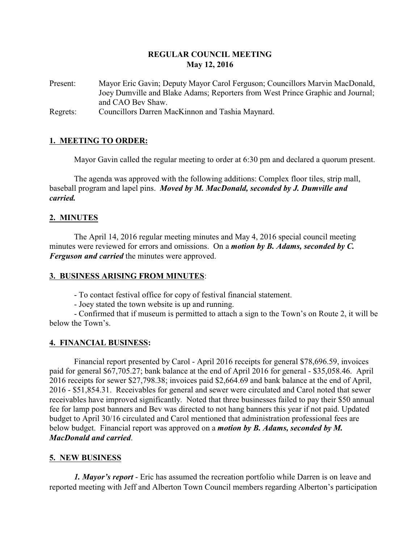## **REGULAR COUNCIL MEETING May 12, 2016**

Present: Mayor Eric Gavin; Deputy Mayor Carol Ferguson; Councillors Marvin MacDonald, Joey Dumville and Blake Adams; Reporters from West Prince Graphic and Journal; and CAO Bev Shaw.

Regrets: Councillors Darren MacKinnon and Tashia Maynard.

## **1. MEETING TO ORDER:**

Mayor Gavin called the regular meeting to order at 6:30 pm and declared a quorum present.

The agenda was approved with the following additions: Complex floor tiles, strip mall, baseball program and lapel pins. *Moved by M. MacDonald, seconded by J. Dumville and carried.*

## **2. MINUTES**

The April 14, 2016 regular meeting minutes and May 4, 2016 special council meeting minutes were reviewed for errors and omissions. On a *motion by B. Adams, seconded by C. Ferguson and carried* the minutes were approved.

## **3. BUSINESS ARISING FROM MINUTES**:

- To contact festival office for copy of festival financial statement.

- Joey stated the town website is up and running.

- Confirmed that if museum is permitted to attach a sign to the Town's on Route 2, it will be below the Town's.

## **4. FINANCIAL BUSINESS:**

Financial report presented by Carol - April 2016 receipts for general \$78,696.59, invoices paid for general \$67,705.27; bank balance at the end of April 2016 for general - \$35,058.46. April 2016 receipts for sewer \$27,798.38; invoices paid \$2,664.69 and bank balance at the end of April, 2016 - \$51,854.31. Receivables for general and sewer were circulated and Carol noted that sewer receivables have improved significantly. Noted that three businesses failed to pay their \$50 annual fee for lamp post banners and Bev was directed to not hang banners this year if not paid. Updated budget to April 30/16 circulated and Carol mentioned that administration professional fees are below budget. Financial report was approved on a *motion by B. Adams, seconded by M. MacDonald and carried*.

## **5. NEW BUSINESS**

*1. Mayor's report* - Eric has assumed the recreation portfolio while Darren is on leave and reported meeting with Jeff and Alberton Town Council members regarding Alberton's participation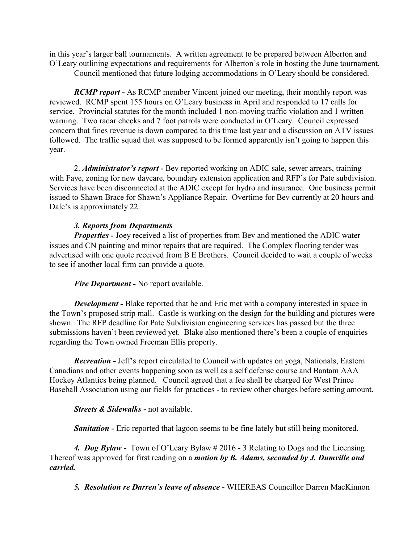in this year's larger ball tournaments. A written agreement to be prepared between Alberton and O'Leary outlining expectations and requirements for Alberton's role in hosting the June tournament.

Council mentioned that future lodging accommodations in O'Leary should be considered.

*RCMP report -* As RCMP member Vincent joined our meeting, their monthly report was reviewed. RCMP spent 155 hours on O'Leary business in April and responded to 17 calls for service. Provincial statutes for the month included 1 non-moving traffic violation and 1 written warning. Two radar checks and 7 foot patrols were conducted in O'Leary. Council expressed concern that fines revenue is down compared to this time last year and a discussion on ATV issues followed. The traffic squad that was supposed to be formed apparently isn't going to happen this year.

2. *Administrator's report -* Bev reported working on ADIC sale, sewer arrears, training with Faye, zoning for new daycare, boundary extension application and RFP's for Pate subdivision. Services have been disconnected at the ADIC except for hydro and insurance. One business permit issued to Shawn Brace for Shawn's Appliance Repair. Overtime for Bev currently at 20 hours and Dale's is approximately 22.

## *3. Reports from Departments*

*Properties* - Joey received a list of properties from Bev and mentioned the ADIC water issues and CN painting and minor repairs that are required. The Complex flooring tender was advertised with one quote received from B E Brothers. Council decided to wait a couple of weeks to see if another local firm can provide a quote.

## *Fire Department -* No report available.

*Development* - Blake reported that he and Eric met with a company interested in space in the Town's proposed strip mall. Castle is working on the design for the building and pictures were shown. The RFP deadline for Pate Subdivision engineering services has passed but the three submissions haven't been reviewed yet. Blake also mentioned there's been a couple of enquiries regarding the Town owned Freeman Ellis property.

*Recreation -* Jeff's report circulated to Council with updates on yoga, Nationals, Eastern Canadians and other events happening soon as well as a self defense course and Bantam AAA Hockey Atlantics being planned. Council agreed that a fee shall be charged for West Prince Baseball Association using our fields for practices - to review other charges before setting amount.

*Streets & Sidewalks -* not available.

**Sanitation -** Eric reported that lagoon seems to be fine lately but still being monitored.

*4. Dog Bylaw -* Town of O'Leary Bylaw # 2016 - 3 Relating to Dogs and the Licensing Thereof was approved for first reading on a *motion by B. Adams, seconded by J. Dumville and carried.*

*5. Resolution re Darren's leave of absence -* WHEREAS Councillor Darren MacKinnon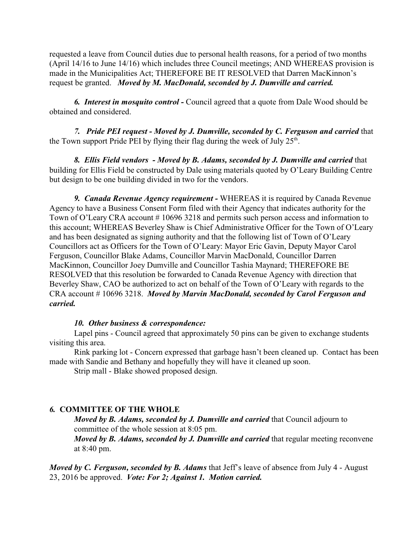requested a leave from Council duties due to personal health reasons, for a period of two months (April 14/16 to June 14/16) which includes three Council meetings; AND WHEREAS provision is made in the Municipalities Act; THEREFORE BE IT RESOLVED that Darren MacKinnon's request be granted. *Moved by M. MacDonald, seconded by J. Dumville and carried.*

*6. Interest in mosquito control -* Council agreed that a quote from Dale Wood should be obtained and considered.

*7. Pride PEI request - Moved by J. Dumville, seconded by C. Ferguson and carried* that the Town support Pride PEI by flying their flag during the week of July  $25<sup>th</sup>$ .

*8. Ellis Field vendors - Moved by B. Adams, seconded by J. Dumville and carried* that building for Ellis Field be constructed by Dale using materials quoted by O'Leary Building Centre but design to be one building divided in two for the vendors.

*9. Canada Revenue Agency requirement -* WHEREAS it is required by Canada Revenue Agency to have a Business Consent Form filed with their Agency that indicates authority for the Town of O'Leary CRA account #10696 3218 and permits such person access and information to this account; WHEREAS Beverley Shaw is Chief Administrative Officer for the Town of O'Leary and has been designated as signing authority and that the following list of Town of O'Leary Councillors act as Officers for the Town of O'Leary: Mayor Eric Gavin, Deputy Mayor Carol Ferguson, Councillor Blake Adams, Councillor Marvin MacDonald, Councillor Darren MacKinnon, Councillor Joey Dumville and Councillor Tashia Maynard; THEREFORE BE RESOLVED that this resolution be forwarded to Canada Revenue Agency with direction that Beverley Shaw, CAO be authorized to act on behalf of the Town of O'Leary with regards to the CRA account # 10696 3218. *Moved by Marvin MacDonald, seconded by Carol Ferguson and carried.*

## *10. Other business & correspondence:*

Lapel pins - Council agreed that approximately 50 pins can be given to exchange students visiting this area.

Rink parking lot - Concern expressed that garbage hasn't been cleaned up. Contact has been made with Sandie and Bethany and hopefully they will have it cleaned up soon.

Strip mall - Blake showed proposed design.

## *6.* **COMMITTEE OF THE WHOLE**

*Moved by B. Adams, seconded by J. Dumville and carried that Council adjourn to* committee of the whole session at 8:05 pm.

*Moved by B. Adams, seconded by J. Dumville and carried that regular meeting reconvene* at 8:40 pm.

*Moved by C. Ferguson, seconded by B. Adams* that Jeff's leave of absence from July 4 - August 23, 2016 be approved. *Vote: For 2; Against 1. Motion carried.*